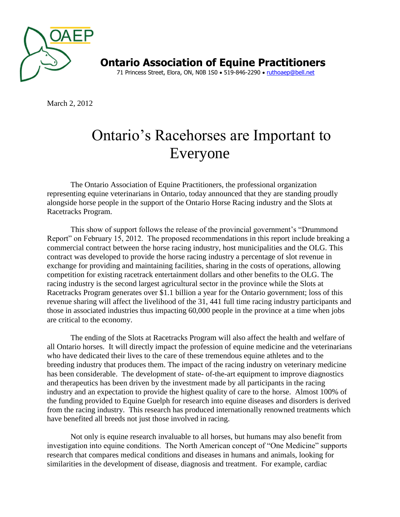

**Ontario Association of Equine Practitioners** 71 Princess Street, Elora, ON, N0B 1S0 . 519-846-2290 . [ruthoaep@bell.net](mailto:ruthoaep@bell.net)

March 2, 2012

## Ontario's Racehorses are Important to Everyone

The Ontario Association of Equine Practitioners, the professional organization representing equine veterinarians in Ontario, today announced that they are standing proudly alongside horse people in the support of the Ontario Horse Racing industry and the Slots at Racetracks Program.

This show of support follows the release of the provincial government's "Drummond Report" on February 15, 2012. The proposed recommendations in this report include breaking a commercial contract between the horse racing industry, host municipalities and the OLG. This contract was developed to provide the horse racing industry a percentage of slot revenue in exchange for providing and maintaining facilities, sharing in the costs of operations, allowing competition for existing racetrack entertainment dollars and other benefits to the OLG. The racing industry is the second largest agricultural sector in the province while the Slots at Racetracks Program generates over \$1.1 billion a year for the Ontario government; loss of this revenue sharing will affect the livelihood of the 31, 441 full time racing industry participants and those in associated industries thus impacting 60,000 people in the province at a time when jobs are critical to the economy.

The ending of the Slots at Racetracks Program will also affect the health and welfare of all Ontario horses. It will directly impact the profession of equine medicine and the veterinarians who have dedicated their lives to the care of these tremendous equine athletes and to the breeding industry that produces them. The impact of the racing industry on veterinary medicine has been considerable. The development of state- of-the-art equipment to improve diagnostics and therapeutics has been driven by the investment made by all participants in the racing industry and an expectation to provide the highest quality of care to the horse. Almost 100% of the funding provided to Equine Guelph for research into equine diseases and disorders is derived from the racing industry. This research has produced internationally renowned treatments which have benefited all breeds not just those involved in racing.

Not only is equine research invaluable to all horses, but humans may also benefit from investigation into equine conditions. The North American concept of "One Medicine" supports research that compares medical conditions and diseases in humans and animals, looking for similarities in the development of disease, diagnosis and treatment. For example, cardiac